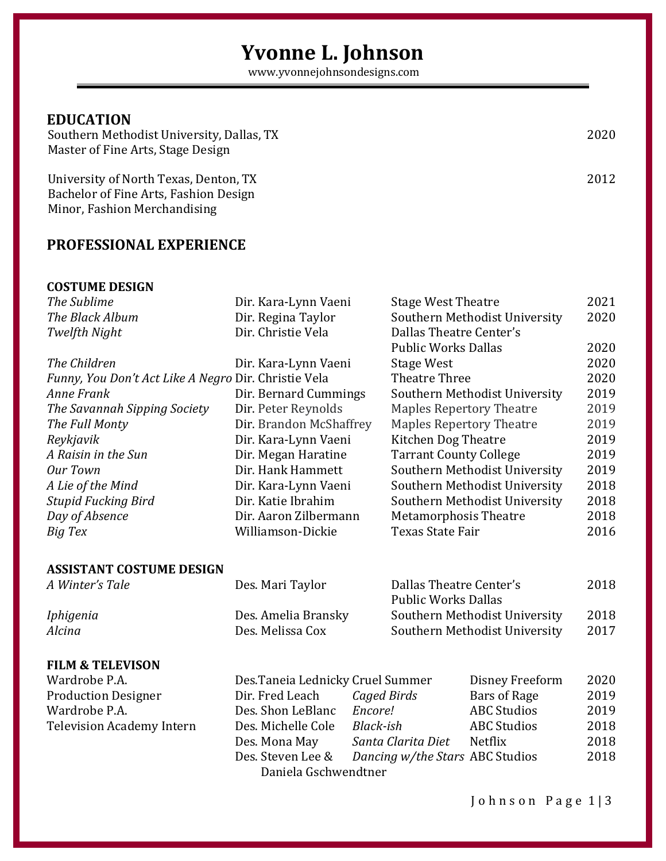# **Yvonne L. Johnson**

www.yvonnejohnsondesigns.com

## **EDUCATION**

 Southern Methodist University, Dallas, TX 2020 Master of Fine Arts, Stage Design

 University of North Texas, Denton, TX 2012 Bachelor of Fine Arts, Fashion Design Minor, Fashion Merchandising

## **PROFESSIONAL EXPERIENCE**

#### **COSTUME DESIGN**

| The Sublime                                          | Dir. Kara-Lynn Vaeni             | <b>Stage West Theatre</b>                             | 2021 |
|------------------------------------------------------|----------------------------------|-------------------------------------------------------|------|
| The Black Album                                      | Dir. Regina Taylor               | Southern Methodist University                         | 2020 |
| Twelfth Night                                        | Dir. Christie Vela               | Dallas Theatre Center's                               |      |
|                                                      |                                  | <b>Public Works Dallas</b>                            | 2020 |
| The Children                                         | Dir. Kara-Lynn Vaeni             | <b>Stage West</b>                                     | 2020 |
| Funny, You Don't Act Like A Negro Dir. Christie Vela |                                  | <b>Theatre Three</b>                                  | 2020 |
| Anne Frank                                           | Dir. Bernard Cummings            | Southern Methodist University                         | 2019 |
| The Savannah Sipping Society                         | Dir. Peter Reynolds              | <b>Maples Repertory Theatre</b>                       | 2019 |
| The Full Monty                                       | Dir. Brandon McShaffrey          | <b>Maples Repertory Theatre</b>                       | 2019 |
| Reykjavik                                            | Dir. Kara-Lynn Vaeni             | Kitchen Dog Theatre                                   | 2019 |
| A Raisin in the Sun                                  | Dir. Megan Haratine              | <b>Tarrant County College</b>                         | 2019 |
| <b>Our Town</b>                                      | Dir. Hank Hammett                | Southern Methodist University                         | 2019 |
| A Lie of the Mind                                    | Dir. Kara-Lynn Vaeni             | Southern Methodist University                         | 2018 |
| Stupid Fucking Bird                                  | Dir. Katie Ibrahim               | Southern Methodist University                         | 2018 |
| Day of Absence                                       | Dir. Aaron Zilbermann            | <b>Metamorphosis Theatre</b>                          | 2018 |
| Big Tex                                              | Williamson-Dickie                | <b>Texas State Fair</b>                               | 2016 |
| ASSISTANT COSTUME DESIGN                             |                                  |                                                       |      |
| A Winter's Tale                                      | Des. Mari Taylor                 | Dallas Theatre Center's<br><b>Public Works Dallas</b> | 2018 |
| Iphigenia                                            | Des. Amelia Bransky              | Southern Methodist University                         | 2018 |
| Alcina                                               | Des. Melissa Cox                 | Southern Methodist University                         | 2017 |
| <b>FILM &amp; TELEVISON</b>                          |                                  |                                                       |      |
| Wardrobe P.A.                                        | Des.Taneia Lednicky Cruel Summer | Disney Freeform                                       | 2020 |
| <b>Production Designer</b>                           | Dir. Fred Leach                  | <b>Caged Birds</b><br><b>Bars of Rage</b>             | 2019 |
| Wardrobe P.A.                                        | Des. Shon LeBlanc                | Encore!<br><b>ABC Studios</b>                         | 2019 |
| Television Academy Intern                            | Des. Michelle Cole               | <b>Black-ish</b><br><b>ABC Studios</b>                | 2018 |
|                                                      | Des. Mona May                    | Santa Clarita Diet<br>Netflix                         | 2018 |
|                                                      | Des. Steven Lee &                | Dancing w/the Stars ABC Studios                       | 2018 |
|                                                      | Daniela Gschwendtner             |                                                       |      |

Johnson Page 1|3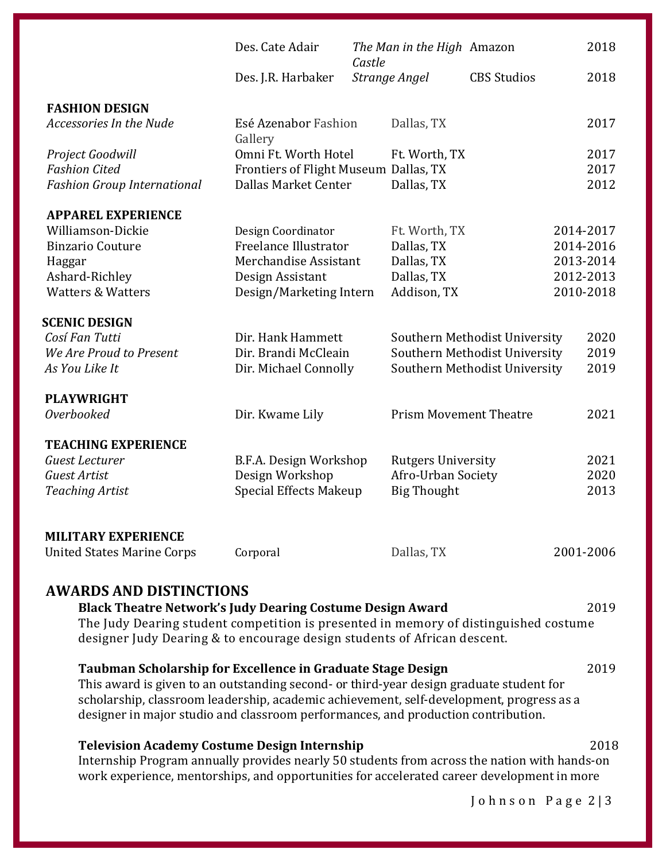|                                    | Des. Cate Adair                       | Castle | The Man in the High Amazon    |                               | 2018      |
|------------------------------------|---------------------------------------|--------|-------------------------------|-------------------------------|-----------|
|                                    | Des. J.R. Harbaker                    |        | Strange Angel                 | <b>CBS</b> Studios            | 2018      |
| <b>FASHION DESIGN</b>              |                                       |        |                               |                               |           |
| Accessories In the Nude            | Esé Azenabor Fashion<br>Gallery       |        | Dallas, TX                    |                               | 2017      |
| Project Goodwill                   | Omni Ft. Worth Hotel                  |        | Ft. Worth, TX                 |                               | 2017      |
| <b>Fashion Cited</b>               | Frontiers of Flight Museum Dallas, TX |        |                               |                               | 2017      |
| <b>Fashion Group International</b> | Dallas Market Center                  |        | Dallas, TX                    |                               | 2012      |
| <b>APPAREL EXPERIENCE</b>          |                                       |        |                               |                               |           |
| Williamson-Dickie                  | Design Coordinator                    |        | Ft. Worth, TX                 |                               | 2014-2017 |
| <b>Binzario Couture</b>            | Freelance Illustrator                 |        | Dallas, TX                    |                               | 2014-2016 |
| Haggar                             | Merchandise Assistant                 |        | Dallas, TX                    |                               | 2013-2014 |
| Ashard-Richley                     | Design Assistant                      |        | Dallas, TX                    |                               | 2012-2013 |
| <b>Watters &amp; Watters</b>       | Design/Marketing Intern               |        | Addison, TX                   |                               | 2010-2018 |
| <b>SCENIC DESIGN</b>               |                                       |        |                               |                               |           |
| Cosí Fan Tutti                     | Dir. Hank Hammett                     |        |                               | Southern Methodist University | 2020      |
| We Are Proud to Present            | Dir. Brandi McCleain                  |        |                               | Southern Methodist University | 2019      |
| As You Like It                     | Dir. Michael Connolly                 |        |                               | Southern Methodist University | 2019      |
| <b>PLAYWRIGHT</b>                  |                                       |        |                               |                               |           |
| <b>Overbooked</b>                  | Dir. Kwame Lily                       |        | <b>Prism Movement Theatre</b> |                               | 2021      |
| <b>TEACHING EXPERIENCE</b>         |                                       |        |                               |                               |           |
| Guest Lecturer                     | B.F.A. Design Workshop                |        | <b>Rutgers University</b>     |                               | 2021      |
| <b>Guest Artist</b>                | Design Workshop                       |        | Afro-Urban Society            |                               | 2020      |
| <b>Teaching Artist</b>             | <b>Special Effects Makeup</b>         |        | <b>Big Thought</b>            |                               | 2013      |
|                                    |                                       |        |                               |                               |           |
| <b>MILITARY EXPERIENCE</b>         |                                       |        |                               |                               |           |
| <b>United States Marine Corps</b>  | Corporal                              |        | Dallas, TX                    |                               | 2001-2006 |

## **AWARDS AND DISTINCTIONS**

| <b>Black Theatre Network's Judy Dearing Costume Design Award</b>                                                                                                              | 2019 |  |  |  |
|-------------------------------------------------------------------------------------------------------------------------------------------------------------------------------|------|--|--|--|
| The Judy Dearing student competition is presented in memory of distinguished costume<br>designer Judy Dearing & to encourage design students of African descent.              |      |  |  |  |
| Taubman Scholarship for Excellence in Graduate Stage Design                                                                                                                   | 2019 |  |  |  |
| This award is given to an outstanding second- or third-year design graduate student for                                                                                       |      |  |  |  |
| scholarship, classroom leadership, academic achievement, self-development, progress as a<br>designer in major studio and classroom performances, and production contribution. |      |  |  |  |

### **Television Academy Costume Design Internship** 2018

[Internship Program](https://www.emmys.com/foundation/programs/internship) annually provides nearly 50 students from across the nation with hands-on work experience, mentorships, and opportunities for accelerated career development in more

Johnson Page 2 | 3